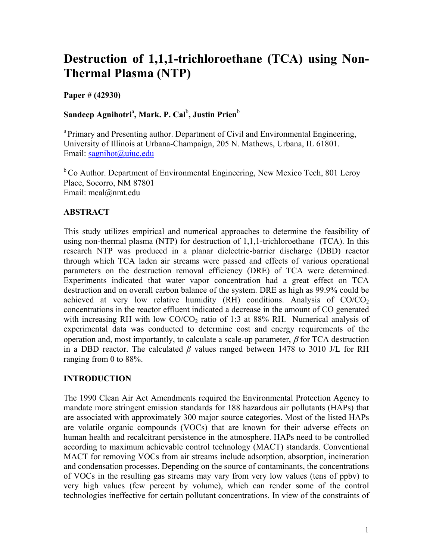# **Destruction of 1,1,1-trichloroethane (TCA) using Non-Thermal Plasma (NTP)**

**Paper # (42930)** 

# $\mathbf S$ andeep Agnihotri<sup>a</sup>, Mark. P. Cal<sup>b</sup>, Justin Prien<sup>b</sup>

<sup>a</sup> Primary and Presenting author. Department of Civil and Environmental Engineering, University of Illinois at Urbana-Champaign, 205 N. Mathews, Urbana, IL 61801. Email: sagnihot@uiuc.edu

<sup>b</sup> Co Author. Department of Environmental Engineering, New Mexico Tech, 801 Leroy Place, Socorro, NM 87801 Email: mcal@nmt.edu

## **ABSTRACT**

This study utilizes empirical and numerical approaches to determine the feasibility of using non-thermal plasma (NTP) for destruction of 1,1,1-trichloroethane (TCA). In this research NTP was produced in a planar dielectric-barrier discharge (DBD) reactor through which TCA laden air streams were passed and effects of various operational parameters on the destruction removal efficiency (DRE) of TCA were determined. Experiments indicated that water vapor concentration had a great effect on TCA destruction and on overall carbon balance of the system. DRE as high as 99.9% could be achieved at very low relative humidity (RH) conditions. Analysis of  $CO/CO<sub>2</sub>$ concentrations in the reactor effluent indicated a decrease in the amount of CO generated with increasing RH with low  $CO/CO<sub>2</sub>$  ratio of 1:3 at 88% RH. Numerical analysis of experimental data was conducted to determine cost and energy requirements of the operation and, most importantly, to calculate a scale-up parameter,  $\beta$  for TCA destruction in a DBD reactor. The calculated *β* values ranged between 1478 to 3010 J/L for RH ranging from 0 to 88%.

## **INTRODUCTION**

The 1990 Clean Air Act Amendments required the Environmental Protection Agency to mandate more stringent emission standards for 188 hazardous air pollutants (HAPs) that are associated with approximately 300 major source categories. Most of the listed HAPs are volatile organic compounds (VOCs) that are known for their adverse effects on human health and recalcitrant persistence in the atmosphere. HAPs need to be controlled according to maximum achievable control technology (MACT) standards. Conventional MACT for removing VOCs from air streams include adsorption, absorption, incineration and condensation processes. Depending on the source of contaminants, the concentrations of VOCs in the resulting gas streams may vary from very low values (tens of ppbv) to very high values (few percent by volume), which can render some of the control technologies ineffective for certain pollutant concentrations. In view of the constraints of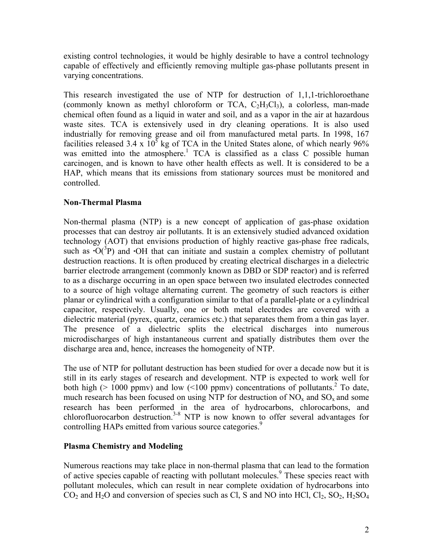existing control technologies, it would be highly desirable to have a control technology capable of effectively and efficiently removing multiple gas-phase pollutants present in varying concentrations.

This research investigated the use of NTP for destruction of 1,1,1-trichloroethane (commonly known as methyl chloroform or TCA,  $C_2H_3Cl_3$ ), a colorless, man-made chemical often found as a liquid in water and soil, and as a vapor in the air at hazardous waste sites. TCA is extensively used in dry cleaning operations. It is also used industrially for removing grease and oil from manufactured metal parts. In 1998, 167 facilities released 3.4 x  $10^5$  kg of TCA in the United States alone, of which nearly 96% was emitted into the atmosphere.<sup>1</sup> TCA is classified as a class C possible human carcinogen, and is known to have other health effects as well. It is considered to be a HAP, which means that its emissions from stationary sources must be monitored and controlled.

## **Non-Thermal Plasma**

Non-thermal plasma (NTP) is a new concept of application of gas-phase oxidation processes that can destroy air pollutants. It is an extensively studied advanced oxidation technology (AOT) that envisions production of highly reactive gas-phase free radicals, such as  $\mathbf{O}(\sqrt{3}P)$  and  $\mathbf{O}H$  that can initiate and sustain a complex chemistry of pollutant destruction reactions. It is often produced by creating electrical discharges in a dielectric barrier electrode arrangement (commonly known as DBD or SDP reactor) and is referred to as a discharge occurring in an open space between two insulated electrodes connected to a source of high voltage alternating current. The geometry of such reactors is either planar or cylindrical with a configuration similar to that of a parallel-plate or a cylindrical capacitor, respectively. Usually, one or both metal electrodes are covered with a dielectric material (pyrex, quartz, ceramics etc.) that separates them from a thin gas layer. The presence of a dielectric splits the electrical discharges into numerous microdischarges of high instantaneous current and spatially distributes them over the discharge area and, hence, increases the homogeneity of NTP.

The use of NTP for pollutant destruction has been studied for over a decade now but it is still in its early stages of research and development. NTP is expected to work well for both high ( $> 1000$  ppmv) and low (<100 ppmv) concentrations of pollutants.<sup>2</sup> To date, much research has been focused on using NTP for destruction of  $NO<sub>x</sub>$  and  $SO<sub>x</sub>$  and some research has been performed in the area of hydrocarbons, chlorocarbons, and chlorofluorocarbon destruction.<sup>3-8</sup> NTP is now known to offer several advantages for controlling HAPs emitted from various source categories.<sup>9</sup>

### **Plasma Chemistry and Modeling**

Numerous reactions may take place in non-thermal plasma that can lead to the formation of active species capable of reacting with pollutant molecules.<sup>9</sup> These species react with pollutant molecules, which can result in near complete oxidation of hydrocarbons into  $CO<sub>2</sub>$  and  $H<sub>2</sub>O$  and conversion of species such as Cl, S and NO into HCl,  $Cl<sub>2</sub>$ ,  $SO<sub>2</sub>$ ,  $H<sub>2</sub>SO<sub>4</sub>$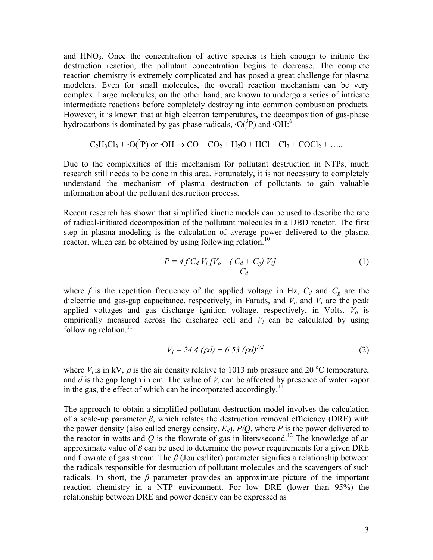and  $HNO<sub>3</sub>$ . Once the concentration of active species is high enough to initiate the destruction reaction, the pollutant concentration begins to decrease. The complete reaction chemistry is extremely complicated and has posed a great challenge for plasma modelers. Even for small molecules, the overall reaction mechanism can be very complex. Large molecules, on the other hand, are known to undergo a series of intricate intermediate reactions before completely destroying into common combustion products. However, it is known that at high electron temperatures, the decomposition of gas-phase hydrocarbons is dominated by gas-phase radicals,  $\cdot O(^3P)$  and  $\cdot OH$ <sup>6</sup>.

$$
C_2H_3Cl_3 + \cdot O(^3P) \text{ or } \cdot OH \rightarrow CO + CO_2 + H_2O + HCl + Cl_2 + COCl_2 + \dots
$$

Due to the complexities of this mechanism for pollutant destruction in NTPs, much research still needs to be done in this area. Fortunately, it is not necessary to completely understand the mechanism of plasma destruction of pollutants to gain valuable information about the pollutant destruction process.

Recent research has shown that simplified kinetic models can be used to describe the rate of radical-initiated decomposition of the pollutant molecules in a DBD reactor. The first step in plasma modeling is the calculation of average power delivered to the plasma reactor, which can be obtained by using following relation.<sup>10</sup>

$$
P = 4f C_d V_i \left[ V_o - \underbrace{(C_d + C_g)}_{C_d} V_i \right] \tag{1}
$$

where  $f$  is the repetition frequency of the applied voltage in Hz,  $C_d$  and  $C_g$  are the dielectric and gas-gap capacitance, respectively, in Farads, and  $V_0$  and  $V_i$  are the peak applied voltages and gas discharge ignition voltage, respectively, in Volts.  $V_o$  is empirically measured across the discharge cell and  $V_i$  can be calculated by using following relation. $^{11}$ 

$$
V_i = 24.4 \ (\rho d) + 6.53 \ (\rho d)^{1/2} \tag{2}
$$

where  $V_i$  is in kV,  $\rho$  is the air density relative to 1013 mb pressure and 20 °C temperature, and *d* is the gap length in cm. The value of *Vi* can be affected by presence of water vapor in the gas, the effect of which can be incorporated accordingly.<sup>1</sup>

The approach to obtain a simplified pollutant destruction model involves the calculation of a scale-up parameter  $\beta$ , which relates the destruction removal efficiency (DRE) with the power density (also called energy density,  $E_d$ ),  $P/O$ , where  $P$  is the power delivered to the reactor in watts and  $Q$  is the flowrate of gas in liters/second.<sup>12</sup> The knowledge of an approximate value of  $\beta$  can be used to determine the power requirements for a given DRE and flowrate of gas stream. The *β* (Joules/liter) parameter signifies a relationship between the radicals responsible for destruction of pollutant molecules and the scavengers of such radicals. In short, the  $\beta$  parameter provides an approximate picture of the important reaction chemistry in a NTP environment. For low DRE (lower than 95%) the relationship between DRE and power density can be expressed as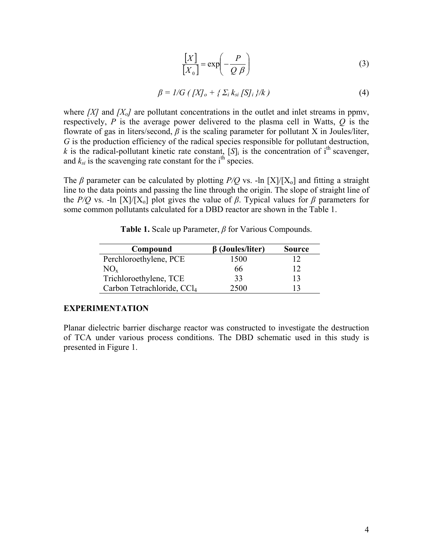$$
\frac{[X]}{[X_0]} = \exp\left(-\frac{P}{Q \beta}\right)
$$
 (3)

$$
\beta = I/G \left( \left[ X \right]_o + \left\{ \Sigma_i \right. k_{si} \left[ S \right]_i \right\} / k \right) \tag{4}
$$

where *[X]* and *[X<sub>o</sub>]* are pollutant concentrations in the outlet and inlet streams in ppmv, respectively, *P* is the average power delivered to the plasma cell in Watts, *Q* is the flowrate of gas in liters/second,  $\beta$  is the scaling parameter for pollutant X in Joules/liter, *G* is the production efficiency of the radical species responsible for pollutant destruction,  $k$  is the radical-pollutant kinetic rate constant,  $[S]_i$  is the concentration of i<sup>th</sup> scavenger, and  $k_{si}$  is the scavenging rate constant for the i<sup>th</sup> species.

The *β* parameter can be calculated by plotting *P*/*Q* vs. -ln [X]/[X<sub>o</sub>] and fitting a straight line to the data points and passing the line through the origin. The slope of straight line of the *P/Q* vs. -ln  $[X]/[X_0]$  plot gives the value of  $\beta$ . Typical values for  $\beta$  parameters for some common pollutants calculated for a DBD reactor are shown in the Table 1.

| Compound                               | $\beta$ (Joules/liter) | <b>Source</b> |
|----------------------------------------|------------------------|---------------|
| Perchloroethylene, PCE                 | 1500                   |               |
| $NO_{x}$                               | 66                     |               |
| Trichloroethylene, TCE                 | 33                     |               |
| Carbon Tetrachloride, CCl <sub>4</sub> | 2500                   |               |

**Table 1.** Scale up Parameter, *β* for Various Compounds.

#### **EXPERIMENTATION**

Planar dielectric barrier discharge reactor was constructed to investigate the destruction of TCA under various process conditions. The DBD schematic used in this study is presented in Figure 1.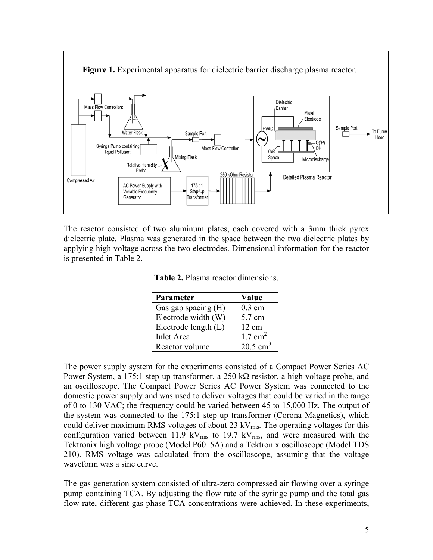

The reactor consisted of two aluminum plates, each covered with a 3mm thick pyrex dielectric plate. Plasma was generated in the space between the two dielectric plates by applying high voltage across the two electrodes. Dimensional information for the reactor is presented in Table 2.

**Table 2.** Plasma reactor dimensions.

| <b>Parameter</b>      | Value               |
|-----------------------|---------------------|
| Gas gap spacing $(H)$ | $0.3$ cm            |
| Electrode width (W)   | 5.7 cm              |
| Electrode length (L)  | $12 \text{ cm}$     |
| <b>Inlet Area</b>     | $1.7 \text{ cm}^2$  |
| Reactor volume        | $20.5 \text{ cm}^3$ |

The power supply system for the experiments consisted of a Compact Power Series AC Power System, a 175:1 step-up transformer, a 250 k $\Omega$  resistor, a high voltage probe, and an oscilloscope. The Compact Power Series AC Power System was connected to the domestic power supply and was used to deliver voltages that could be varied in the range of 0 to 130 VAC; the frequency could be varied between 45 to 15,000 Hz. The output of the system was connected to the 175:1 step-up transformer (Corona Magnetics), which could deliver maximum RMS voltages of about  $23 \text{ kV}_{\text{rms}}$ . The operating voltages for this configuration varied between 11.9 kV $_{\rm rms}$  to 19.7 kV $_{\rm rms}$ , and were measured with the Tektronix high voltage probe (Model P6015A) and a Tektronix oscilloscope (Model TDS 210). RMS voltage was calculated from the oscilloscope, assuming that the voltage waveform was a sine curve.

The gas generation system consisted of ultra-zero compressed air flowing over a syringe pump containing TCA. By adjusting the flow rate of the syringe pump and the total gas flow rate, different gas-phase TCA concentrations were achieved. In these experiments,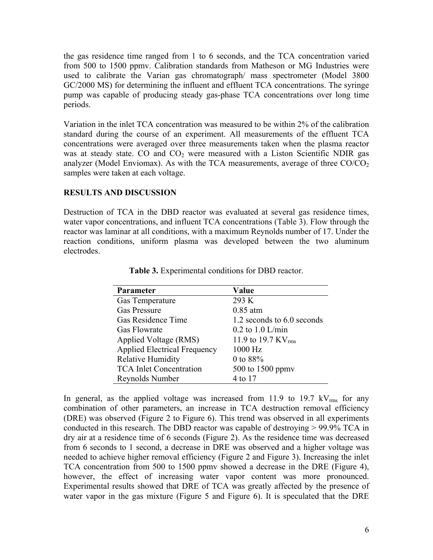the gas residence time ranged from 1 to 6 seconds, and the TCA concentration varied from 500 to 1500 ppmv. Calibration standards from Matheson or MG Industries were used to calibrate the Varian gas chromatograph/ mass spectrometer (Model 3800 GC/2000 MS) for determining the influent and effluent TCA concentrations. The syringe pump was capable of producing steady gas-phase TCA concentrations over long time periods.

Variation in the inlet TCA concentration was measured to be within 2% of the calibration standard during the course of an experiment. All measurements of the effluent TCA concentrations were averaged over three measurements taken when the plasma reactor was at steady state. CO and  $CO<sub>2</sub>$  were measured with a Liston Scientific NDIR gas analyzer (Model Enviomax). As with the TCA measurements, average of three  $CO/CO<sub>2</sub>$ samples were taken at each voltage.

## **RESULTS AND DISCUSSION**

Destruction of TCA in the DBD reactor was evaluated at several gas residence times, water vapor concentrations, and influent TCA concentrations (Table 3). Flow through the reactor was laminar at all conditions, with a maximum Reynolds number of 17. Under the reaction conditions, uniform plasma was developed between the two aluminum electrodes.

| 1.2 seconds to 6.0 seconds |
|----------------------------|
|                            |
|                            |
|                            |
|                            |
|                            |
|                            |
|                            |

**Table 3.** Experimental conditions for DBD reactor.

In general, as the applied voltage was increased from 11.9 to 19.7  $kV_{rms}$  for any combination of other parameters, an increase in TCA destruction removal efficiency (DRE) was observed (Figure 2 to Figure 6). This trend was observed in all experiments conducted in this research. The DBD reactor was capable of destroying > 99.9% TCA in dry air at a residence time of 6 seconds (Figure 2). As the residence time was decreased from 6 seconds to 1 second, a decrease in DRE was observed and a higher voltage was needed to achieve higher removal efficiency (Figure 2 and Figure 3). Increasing the inlet TCA concentration from 500 to 1500 ppmv showed a decrease in the DRE (Figure 4), however, the effect of increasing water vapor content was more pronounced. Experimental results showed that DRE of TCA was greatly affected by the presence of water vapor in the gas mixture (Figure 5 and Figure 6). It is speculated that the DRE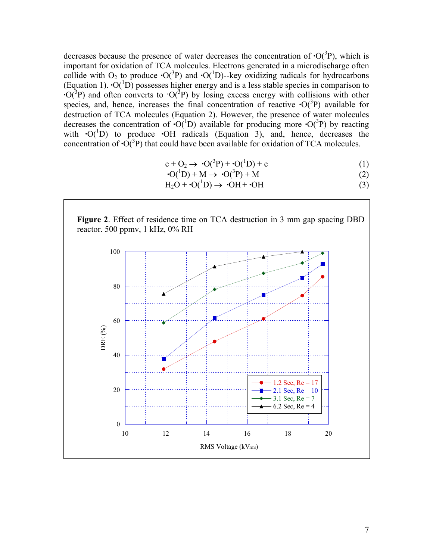decreases because the presence of water decreases the concentration of  $\cdot O(^3P)$ , which is important for oxidation of TCA molecules. Electrons generated in a microdischarge often collide with  $O_2$  to produce  $\cdot O(^3P)$  and  $\cdot O(^1D)$ -key oxidizing radicals for hydrocarbons (Equation 1).  $\cdot O(^{1}D)$  possesses higher energy and is a less stable species in comparison to  $\cdot O(3P)$  and often converts to  $\cdot O(3P)$  by losing excess energy with collisions with other species, and, hence, increases the final concentration of reactive  $\cdot O(^3P)$  available for destruction of TCA molecules (Equation 2). However, the presence of water molecules decreases the concentration of  $\cdot O(^{1}D)$  available for producing more  $\cdot O(^{3}P)$  by reacting with  $\cdot$ O(<sup>1</sup>D) to produce  $\cdot$ OH radicals (Equation 3), and, hence, decreases the concentration of  $\cdot O(^3P)$  that could have been available for oxidation of TCA molecules.

$$
e + O_2 \rightarrow \cdot O(^3P) + \cdot O(^1D) + e \tag{1}
$$

$$
O(^{1}D) + M \rightarrow O(^{3}P) + M \tag{2}
$$

 $H_2O + O(^1D) \rightarrow OH + OH$  (3)



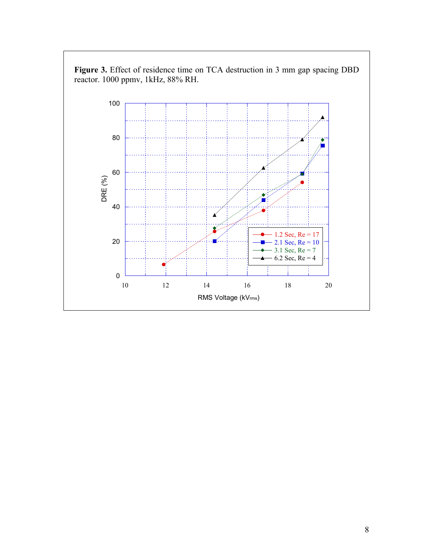

**Figure 3.** Effect of residence time on TCA destruction in 3 mm gap spacing DBD reactor. 1000 ppmv, 1kHz, 88% RH.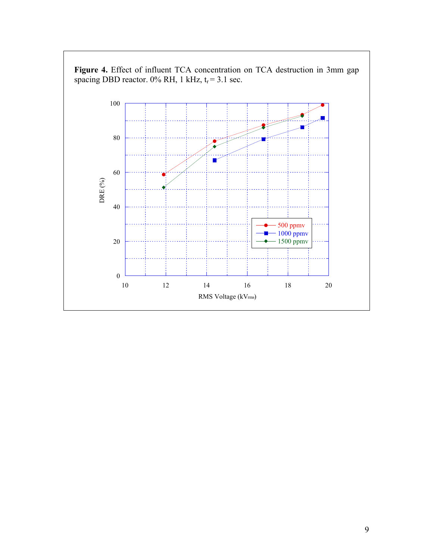

**Figure 4.** Effect of influent TCA concentration on TCA destruction in 3mm gap spacing DBD reactor.  $0\%$  RH, 1 kHz,  $t_r = 3.1$  sec.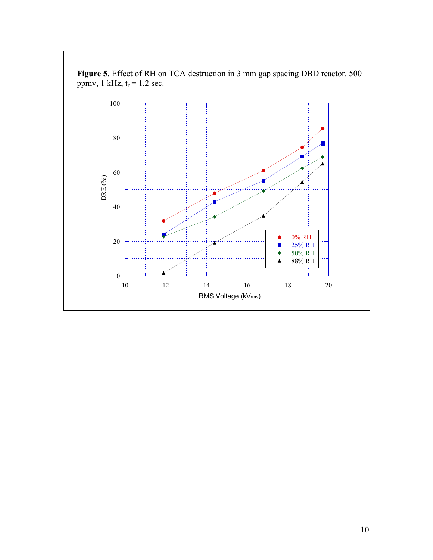

**Figure 5.** Effect of RH on TCA destruction in 3 mm gap spacing DBD reactor. 500 ppmv, 1 kHz,  $t_r = 1.2$  sec.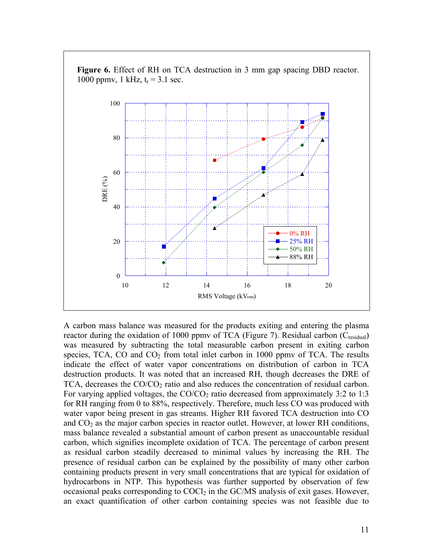

**Figure 6.** Effect of RH on TCA destruction in 3 mm gap spacing DBD reactor. 1000 ppmv, 1 kHz,  $t_r = 3.1$  sec.

A carbon mass balance was measured for the products exiting and entering the plasma reactor during the oxidation of 1000 ppmy of TCA (Figure 7). Residual carbon ( $C_{residual}$ ) was measured by subtracting the total measurable carbon present in exiting carbon species, TCA,  $CO$  and  $CO<sub>2</sub>$  from total inlet carbon in 1000 ppmv of TCA. The results indicate the effect of water vapor concentrations on distribution of carbon in TCA destruction products. It was noted that an increased RH, though decreases the DRE of TCA, decreases the  $CO/CO<sub>2</sub>$  ratio and also reduces the concentration of residual carbon. For varying applied voltages, the  $CO/CO<sub>2</sub>$  ratio decreased from approximately 3:2 to 1:3 for RH ranging from 0 to 88%, respectively. Therefore, much less CO was produced with water vapor being present in gas streams. Higher RH favored TCA destruction into CO and  $CO<sub>2</sub>$  as the major carbon species in reactor outlet. However, at lower RH conditions, mass balance revealed a substantial amount of carbon present as unaccountable residual carbon, which signifies incomplete oxidation of TCA. The percentage of carbon present as residual carbon steadily decreased to minimal values by increasing the RH. The presence of residual carbon can be explained by the possibility of many other carbon containing products present in very small concentrations that are typical for oxidation of hydrocarbons in NTP. This hypothesis was further supported by observation of few occasional peaks corresponding to  $COCl<sub>2</sub>$  in the GC/MS analysis of exit gases. However, an exact quantification of other carbon containing species was not feasible due to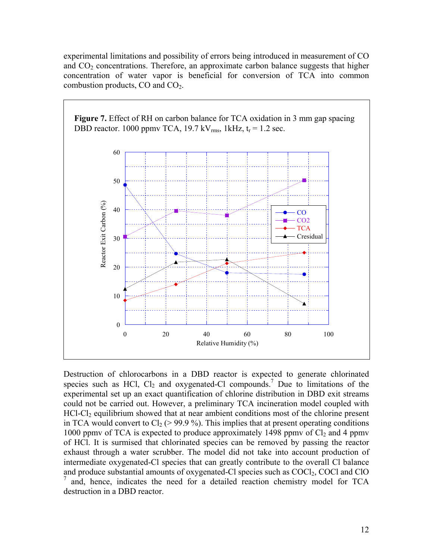experimental limitations and possibility of errors being introduced in measurement of CO and  $CO<sub>2</sub>$  concentrations. Therefore, an approximate carbon balance suggests that higher concentration of water vapor is beneficial for conversion of TCA into common combustion products, CO and CO2.



Destruction of chlorocarbons in a DBD reactor is expected to generate chlorinated species such as HCl,  $Cl_2$  and oxygenated-Cl compounds.<sup>7</sup> Due to limitations of the experimental set up an exact quantification of chlorine distribution in DBD exit streams could not be carried out. However, a preliminary TCA incineration model coupled with HCl-Cl<sub>2</sub> equilibrium showed that at near ambient conditions most of the chlorine present in TCA would convert to  $Cl_2$  ( $> 99.9$ %). This implies that at present operating conditions 1000 ppmv of TCA is expected to produce approximately 1498 ppmv of  $Cl<sub>2</sub>$  and 4 ppmv of HCl. It is surmised that chlorinated species can be removed by passing the reactor exhaust through a water scrubber. The model did not take into account production of intermediate oxygenated-Cl species that can greatly contribute to the overall Cl balance and produce substantial amounts of oxygenated-Cl species such as  $COCl<sub>2</sub>$ , COCl and ClO 7 and, hence, indicates the need for a detailed reaction chemistry model for TCA destruction in a DBD reactor.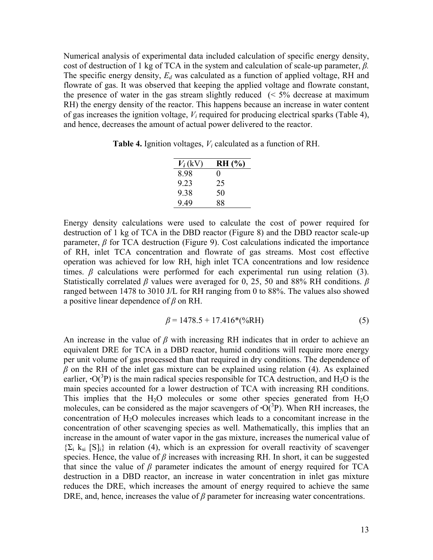Numerical analysis of experimental data included calculation of specific energy density, cost of destruction of 1 kg of TCA in the system and calculation of scale-up parameter, *β.*  The specific energy density, *Ed* was calculated as a function of applied voltage, RH and flowrate of gas. It was observed that keeping the applied voltage and flowrate constant, the presence of water in the gas stream slightly reduced  $\ll 5\%$  decrease at maximum RH) the energy density of the reactor. This happens because an increase in water content of gas increases the ignition voltage, *Vi* required for producing electrical sparks (Table 4), and hence, decreases the amount of actual power delivered to the reactor.

**Table 4.** Ignition voltages, *Vi* calculated as a function of RH.

| $V_i$ (kV) | <b>RH</b> (%)     |
|------------|-------------------|
| 8 98       | $\mathbf{\Omega}$ |
| 9 23       | 25                |
| 9.38       | 50                |
| 949        | 88                |

Energy density calculations were used to calculate the cost of power required for destruction of 1 kg of TCA in the DBD reactor (Figure 8) and the DBD reactor scale-up parameter, *β* for TCA destruction (Figure 9). Cost calculations indicated the importance of RH, inlet TCA concentration and flowrate of gas streams. Most cost effective operation was achieved for low RH, high inlet TCA concentrations and low residence times.  $\beta$  calculations were performed for each experimental run using relation (3). Statistically correlated *β* values were averaged for 0, 25, 50 and 88% RH conditions. *β* ranged between 1478 to 3010 J/L for RH ranging from 0 to 88%. The values also showed a positive linear dependence of *β* on RH.

$$
\beta = 1478.5 + 17.416*(%RH)
$$
\n(5)

An increase in the value of  $\beta$  with increasing RH indicates that in order to achieve an equivalent DRE for TCA in a DBD reactor, humid conditions will require more energy per unit volume of gas processed than that required in dry conditions. The dependence of  $\beta$  on the RH of the inlet gas mixture can be explained using relation (4). As explained earlier,  $\cdot O(^3P)$  is the main radical species responsible for TCA destruction, and H<sub>2</sub>O is the main species accounted for a lower destruction of TCA with increasing RH conditions. This implies that the  $H_2O$  molecules or some other species generated from  $H_2O$ molecules, can be considered as the major scavengers of  $\cdot O(3P)$ . When RH increases, the concentration of H<sub>2</sub>O molecules increases which leads to a concomitant increase in the concentration of other scavenging species as well. Mathematically, this implies that an increase in the amount of water vapor in the gas mixture, increases the numerical value of  ${\Sigma_i}$  k<sub>si</sub> [S]<sub>i</sub>} in relation (4), which is an expression for overall reactivity of scavenger species. Hence, the value of  $\beta$  increases with increasing RH. In short, it can be suggested that since the value of  $\beta$  parameter indicates the amount of energy required for TCA destruction in a DBD reactor, an increase in water concentration in inlet gas mixture reduces the DRE, which increases the amount of energy required to achieve the same DRE, and, hence, increases the value of  $\beta$  parameter for increasing water concentrations.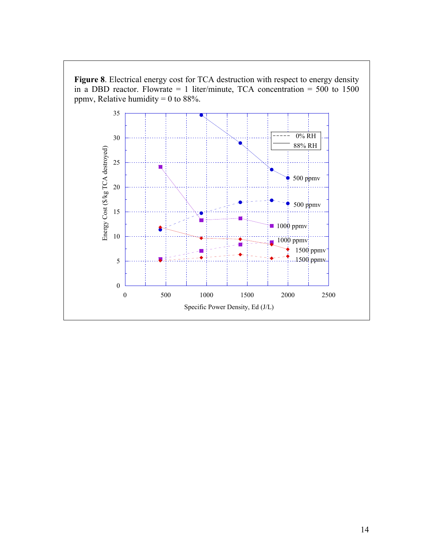

14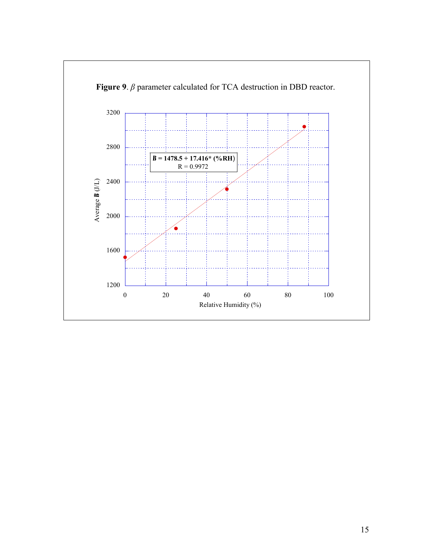

 **Figure 9**. *β* parameter calculated for TCA destruction in DBD reactor.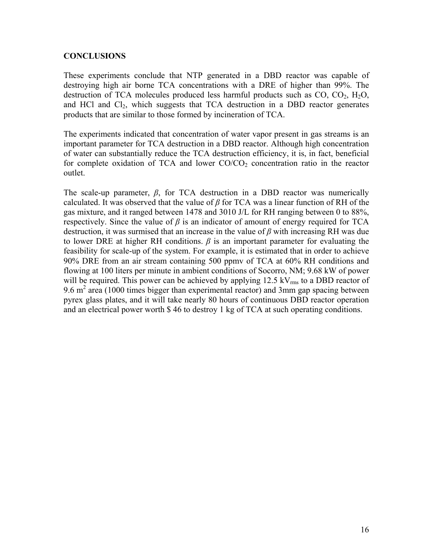## **CONCLUSIONS**

These experiments conclude that NTP generated in a DBD reactor was capable of destroying high air borne TCA concentrations with a DRE of higher than 99%. The destruction of TCA molecules produced less harmful products such as  $CO$ ,  $CO<sub>2</sub>$ ,  $H<sub>2</sub>O$ , and HCl and Cl<sub>2</sub>, which suggests that TCA destruction in a DBD reactor generates products that are similar to those formed by incineration of TCA.

The experiments indicated that concentration of water vapor present in gas streams is an important parameter for TCA destruction in a DBD reactor. Although high concentration of water can substantially reduce the TCA destruction efficiency, it is, in fact, beneficial for complete oxidation of TCA and lower  $CO/CO<sub>2</sub>$  concentration ratio in the reactor outlet.

The scale-up parameter, *β*, for TCA destruction in a DBD reactor was numerically calculated. It was observed that the value of *β* for TCA was a linear function of RH of the gas mixture, and it ranged between 1478 and 3010 J/L for RH ranging between 0 to 88%, respectively. Since the value of  $\beta$  is an indicator of amount of energy required for TCA destruction, it was surmised that an increase in the value of *β* with increasing RH was due to lower DRE at higher RH conditions.  $\beta$  is an important parameter for evaluating the feasibility for scale-up of the system. For example, it is estimated that in order to achieve 90% DRE from an air stream containing 500 ppmv of TCA at 60% RH conditions and flowing at 100 liters per minute in ambient conditions of Socorro, NM; 9.68 kW of power will be required. This power can be achieved by applying  $12.5 \text{ kV}_{\text{rms}}$  to a DBD reactor of 9.6  $m<sup>2</sup>$  area (1000 times bigger than experimental reactor) and 3mm gap spacing between pyrex glass plates, and it will take nearly 80 hours of continuous DBD reactor operation and an electrical power worth \$ 46 to destroy 1 kg of TCA at such operating conditions.